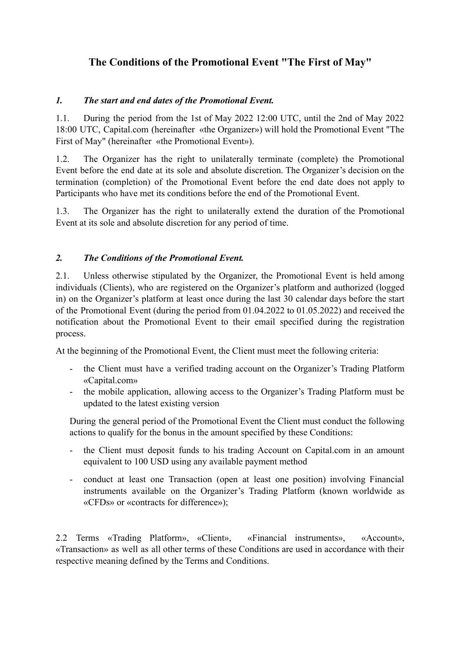# **The Conditions of the Promotional Event "The First of May"**

### *1. The start and end dates of the Promotional Event.*

1.1. During the period from the 1st of May 2022 12:00 UTC, until the 2nd of May 2022 18:00 UTC, Capital.com (hereinafter «the Organizer») will hold the Promotional Event "The First of May" (hereinafter «the Promotional Event»).

1.2. The Organizer has the right to unilaterally terminate (complete) the Promotional Event before the end date at its sole and absolute discretion. The Organizer's decision on the termination (completion) of the Promotional Event before the end date does not apply to Participants who have met its conditions before the end of the Promotional Event.

1.3. The Organizer has the right to unilaterally extend the duration of the Promotional Event at its sole and absolute discretion for any period of time.

#### *2. The Conditions of the Promotional Event.*

2.1. Unless otherwise stipulated by the Organizer, the Promotional Event is held among individuals (Clients), who are registered on the Organizer's platform and authorized (logged in) on the Organizer's platform at least once during the last 30 calendar days before the start of the Promotional Event (during the period from 01.04.2022 to 01.05.2022) and received the notification about the Promotional Event to their email specified during the registration process.

At the beginning of the Promotional Event, the Client must meet the following criteria:

- the Client must have a verified trading account on the Organizer's Trading Platform «Capital.com»
- the mobile application, allowing access to the Organizer's Trading Platform must be updated to the latest existing version

During the general period of the Promotional Event the Client must conduct the following actions to qualify for the bonus in the amount specified by these Conditions:

- the Client must deposit funds to his trading Account on Capital.com in an amount equivalent to 100 USD using any available payment method
- conduct at least one Transaction (open at least one position) involving Financial instruments available on the Organizer's Trading Platform (known worldwide as «CFDs» or «contracts for difference»);

2.2 Terms «Trading Platform», «Client», «Financial instruments», «Account», «Transaction» as well as all other terms of these Conditions are used in accordance with their respective meaning defined by the Terms and Conditions.